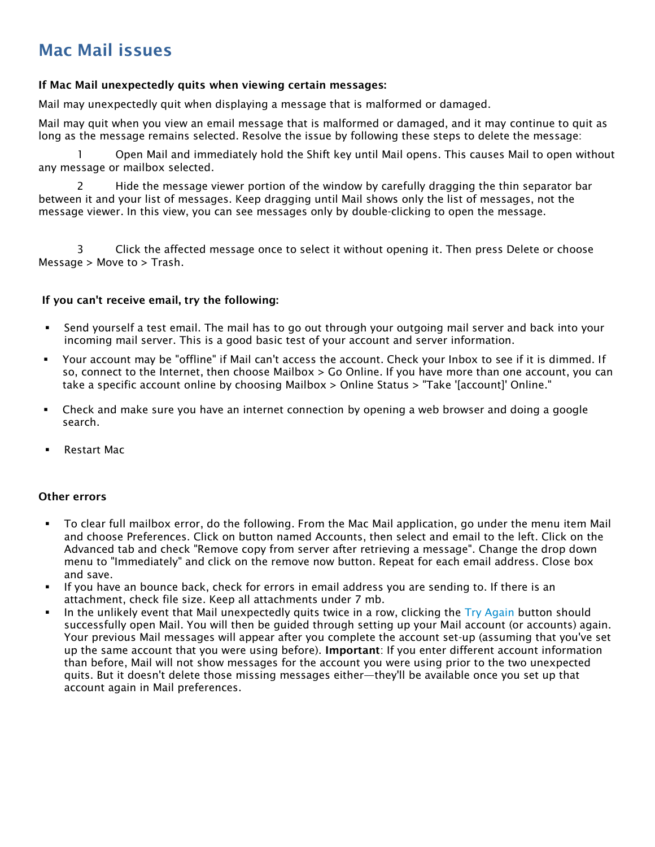# Mac Mail issues

#### If Mac Mail unexpectedly quits when viewing certain messages:

Mail may unexpectedly quit when displaying a message that is malformed or damaged.

Mail may quit when you view an email message that is malformed or damaged, and it may continue to quit as long as the message remains selected. Resolve the issue by following these steps to delete the message:

1 Open Mail and immediately hold the Shift key until Mail opens. This causes Mail to open without any message or mailbox selected.

2 Hide the message viewer portion of the window by carefully dragging the thin separator bar between it and your list of messages. Keep dragging until Mail shows only the list of messages, not the message viewer. In this view, you can see messages only by double-clicking to open the message.

3 Click the affected message once to select it without opening it. Then press Delete or choose Message > Move to > Trash.

#### If you can't receive email, try the following:

- Send yourself a test email. The mail has to go out through your outgoing mail server and back into your incoming mail server. This is a good basic test of your account and server information.
- Your account may be "offline" if Mail can't access the account. Check your Inbox to see if it is dimmed. If so, connect to the Internet, then choose Mailbox > Go Online. If you have more than one account, you can take a specific account online by choosing Mailbox > Online Status > "Take '[account]' Online."
- Check and make sure you have an internet connection by opening a web browser and doing a google search.
- Restart Mac

#### Other errors

- To clear full mailbox error, do the following. From the Mac Mail application, go under the menu item Mail and choose Preferences. Click on button named Accounts, then select and email to the left. Click on the Advanced tab and check "Remove copy from server after retrieving a message". Change the drop down menu to "Immediately" and click on the remove now button. Repeat for each email address. Close box and save.
- If you have an bounce back, check for errors in email address you are sending to. If there is an attachment, check file size. Keep all attachments under 7 mb.
- In the unlikely event that Mail unexpectedly quits twice in a row, clicking the  $Try$  Again button should successfully open Mail. You will then be guided through setting up your Mail account (or accounts) again. Your previous Mail messages will appear after you complete the account set-up (assuming that you've set up the same account that you were using before). Important: If you enter different account information than before, Mail will not show messages for the account you were using prior to the two unexpected quits. But it doesn't delete those missing messages either—they'll be available once you set up that account again in Mail preferences.